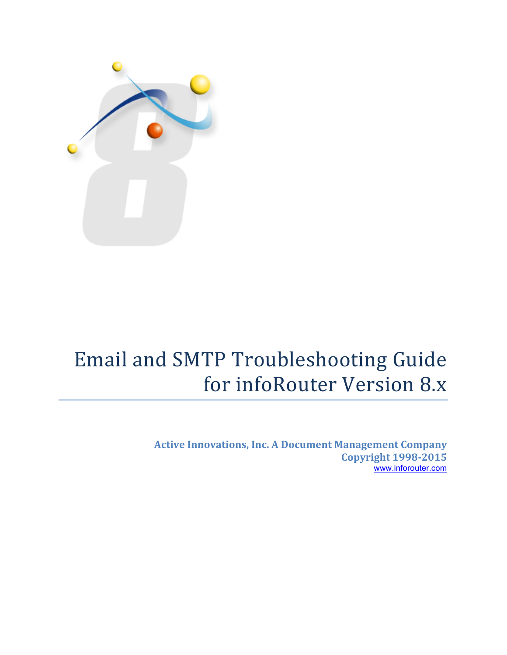

# Email and SMTP Troubleshooting Guide for infoRouter Version 8.x

**Active Innovations, Inc. A Document Management Company Copyright 1998-2015** www.inforouter.com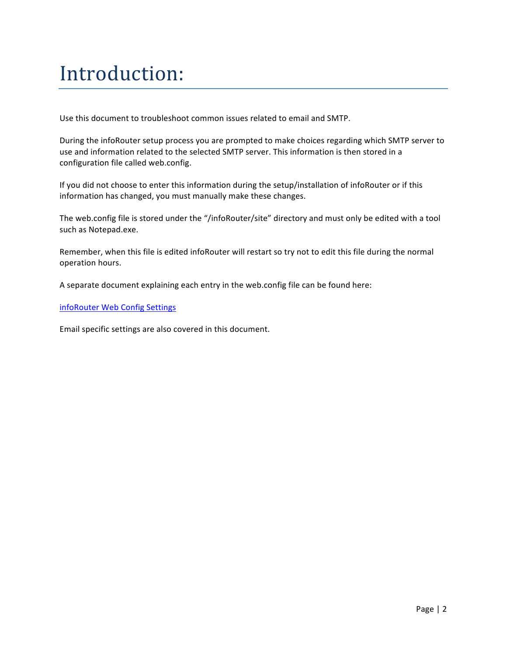## Introduction:

Use this document to troubleshoot common issues related to email and SMTP.

During the infoRouter setup process you are prompted to make choices regarding which SMTP server to use and information related to the selected SMTP server. This information is then stored in a configuration file called web.config.

If you did not choose to enter this information during the setup/installation of infoRouter or if this information has changed, you must manually make these changes.

The web.config file is stored under the "/infoRouter/site" directory and must only be edited with a tool such as Notepad.exe.

Remember, when this file is edited infoRouter will restart so try not to edit this file during the normal operation hours.

A separate document explaining each entry in the web.config file can be found here:

infoRouter Web Config Settings

Email specific settings are also covered in this document.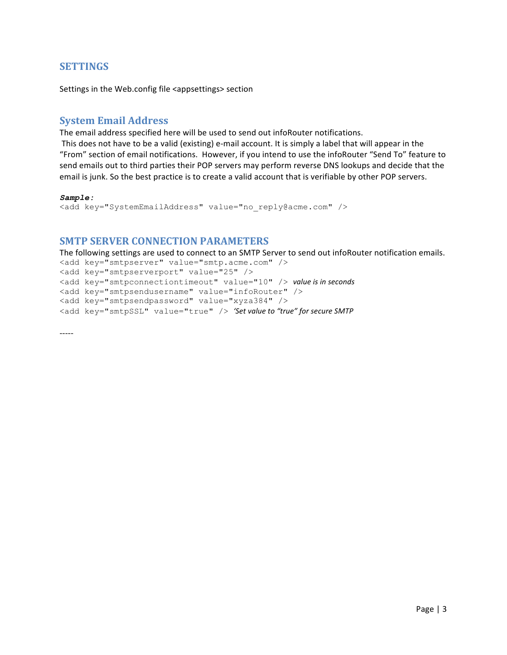### **SETTINGS**

Settings in the Web.config file <appsettings> section

## **System Email Address**

The email address specified here will be used to send out infoRouter notifications.

This does not have to be a valid (existing) e-mail account. It is simply a label that will appear in the "From" section of email notifications. However, if you intend to use the infoRouter "Send To" feature to send emails out to third parties their POP servers may perform reverse DNS lookups and decide that the email is junk. So the best practice is to create a valid account that is verifiable by other POP servers.

#### *Sample:*

```
<add key="SystemEmailAddress" value="no_reply@acme.com" />
```
### **SMTP SERVER CONNECTION PARAMETERS**

The following settings are used to connect to an SMTP Server to send out infoRouter notification emails.

<add key="smtpserver" value="smtp.acme.com" /> <add key="smtpserverport" value="25" /> <add key="smtpconnectiontimeout" value="10" /> *value* is in seconds <add key="smtpsendusername" value="infoRouter" /> <add key="smtpsendpassword" value="xyza384" /> <add key="smtpSSL" value="true" /> 'Set value to "true" for secure SMTP

-----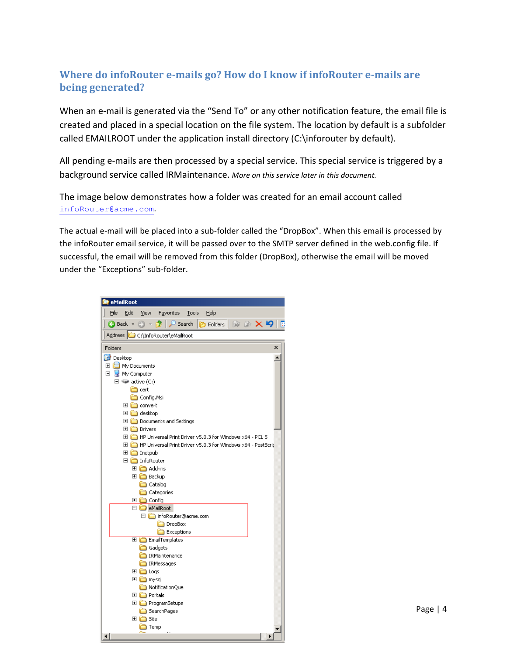## **Where do infoRouter e-mails go? How do I know if infoRouter e-mails are being generated?**

When an e-mail is generated via the "Send To" or any other notification feature, the email file is created and placed in a special location on the file system. The location by default is a subfolder called EMAILROOT under the application install directory (C:\inforouter by default).

All pending e-mails are then processed by a special service. This special service is triggered by a background service called IRMaintenance. More on this service later in this document.

The image below demonstrates how a folder was created for an email account called infoRouter@acme.com. 

The actual e-mail will be placed into a sub-folder called the "DropBox". When this email is processed by the infoRouter email service, it will be passed over to the SMTP server defined in the web.config file. If successful, the email will be removed from this folder (DropBox), otherwise the email will be moved under the "Exceptions" sub-folder.

| <b>E</b> eMailRoot                                                                           |
|----------------------------------------------------------------------------------------------|
| File<br>Edit<br>Tools<br>Help<br>View<br><b>Favorites</b>                                    |
| $\bigcirc$ Search<br>$\bigcirc$ Back $\cdot$ $\bigcirc$<br>Pи<br><b>P</b> Folders<br>B & X 9 |
| Address C C:\InfoRouter\eMailRoot                                                            |
| Folders<br>×                                                                                 |
| <b>C</b> Desktop                                                                             |
| <b>EI</b> My Documents                                                                       |
| Ξ<br>My Computer                                                                             |
| $\Box \Leftrightarrow$ active (C:)                                                           |
| in cert                                                                                      |
| Config.Msi                                                                                   |
| <b>E</b> in convert                                                                          |
| 田 □ desktop                                                                                  |
| <b>El Conditional</b> Documents and Settings                                                 |
| <b>E</b> □ Drivers<br>HP Universal Print Driver v5.0.3 for Windows x64 - PCL 5               |
|                                                                                              |
| 田 netpub                                                                                     |
| $\Box$ InfoRouter                                                                            |
| Add-ins<br>$\overline{\mathbf{H}}$                                                           |
| ⊞ in Backup                                                                                  |
| <b>■ Catalog</b>                                                                             |
| Categories                                                                                   |
| □ □ Config                                                                                   |
| □ o eMailRoot                                                                                |
| □ infoRouter@acme.com<br>DropBox                                                             |
| Exceptions                                                                                   |
| EmailTemplates<br>⊞                                                                          |
| Gadgets                                                                                      |
| IRMaintenance                                                                                |
| RMessages                                                                                    |
| $\overline{+}$<br><b>in</b> Logs                                                             |
| ⊞ ind mysql                                                                                  |
| MotificationQue                                                                              |
| □ □ Portals                                                                                  |
| ProgramSetups<br>⊞<br>  SearchPages                                                          |
| Site<br>⊞                                                                                    |
| Temp                                                                                         |
| ⊣                                                                                            |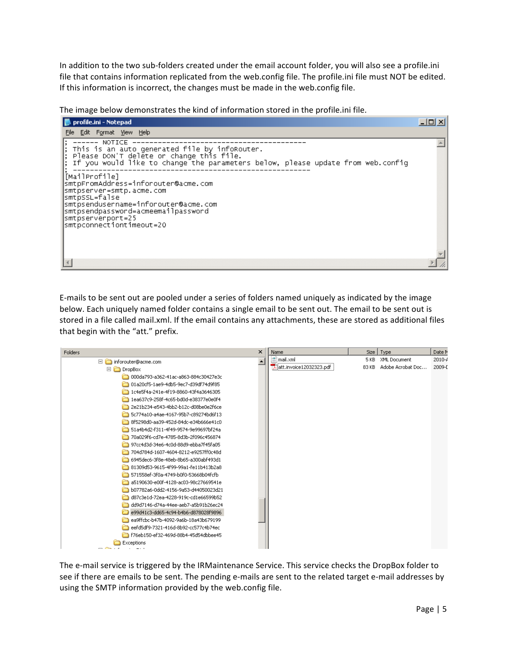In addition to the two sub-folders created under the email account folder, you will also see a profile.ini file that contains information replicated from the web.config file. The profile.ini file must NOT be edited. If this information is incorrect, the changes must be made in the web.config file.

The image below demonstrates the kind of information stored in the profile.ini file.

| profile.ini - Notepad                                                                                                                                                                                                                 |  |
|---------------------------------------------------------------------------------------------------------------------------------------------------------------------------------------------------------------------------------------|--|
| File Edit Format View Help                                                                                                                                                                                                            |  |
| NOTICE<br>; This is an auto generated file by infoRouter.<br>; Please DON'T delete or change this file.<br>If you would like to change the parameters below, please update from web.config                                            |  |
| [MailProfile]<br> smtpFromAddress=inforouter@acme.com<br>smtpserver=smtp.acme.com<br>smtpssL=false <br> smtpsendusername=inforouter@acme.com<br> smtpsendpassword=acmeemailpassword<br>smtpserverport=25 <br>smtpconnectiontimeout=20 |  |
|                                                                                                                                                                                                                                       |  |

E-mails to be sent out are pooled under a series of folders named uniquely as indicated by the image below. Each uniquely named folder contains a single email to be sent out. The email to be sent out is stored in a file called mail.xml. If the email contains any attachments, these are stored as additional files that begin with the "att." prefix.

| Folders                              | × | <b>Name</b>             | Size  | Type              | Date M     |
|--------------------------------------|---|-------------------------|-------|-------------------|------------|
| inforouter@acme.com<br>E.            |   | $\mathbb{S}$ mail.xml   | 5 KB  | XML Document      | $2010 - 4$ |
| $\Box$ DropBox                       |   | att.invoice12032323.pdf | 83 KB | Adobe Acrobat Doc | 2009-D     |
| 000da793-a362-41ac-a863-884c30427e3c |   |                         |       |                   |            |
| 01a20cf5-1ae9-4db5-9ec7-d39df74d9f85 |   |                         |       |                   |            |
| 1c4e5f4a-241e-4f19-8860-43f4a3646305 |   |                         |       |                   |            |
| 1ea637c9-258f-4c65-bd0d-e38377e0e0f4 |   |                         |       |                   |            |
| 2e21b234-e543-4bb2-b12c-d08be0e2f6ce |   |                         |       |                   |            |
| 5c774a10-a4ae-4167-95b7-c89274bd6f13 |   |                         |       |                   |            |
| 8f5298d0-aa39-452d-84dc-e34b666e41c0 |   |                         |       |                   |            |
| 51a4b4d2-f311-4f49-9574-9e99697bf24a |   |                         |       |                   |            |
| 70a029f6-cd7e-4785-8d3b-2f096c456874 |   |                         |       |                   |            |
| 97cc4d3d-34e6-4c0d-88d9-ebba7f45fa05 |   |                         |       |                   |            |
| 704d784d-1607-4604-8212-e9257ff0c48d |   |                         |       |                   |            |
| 6945dec6-3f8e-48eb-8b65-a300abf493d1 |   |                         |       |                   |            |
| 81309d53-9615-4f99-99a1-fe11b413b2a8 |   |                         |       |                   |            |
| 571558ef-3f0a-4749-b0f0-53668b04fcfb |   |                         |       |                   |            |
| a5190630-e00f-4128-ac03-98c27669541e |   |                         |       |                   |            |
| b07782a6-0dd2-4156-9a53-d44050023d21 |   |                         |       |                   |            |
| d87c3e1d-72ea-4228-919c-cd1e66599b52 |   |                         |       |                   |            |
| dd9d7146-d74a-44ee-aeb7-a5b91b26ec24 |   |                         |       |                   |            |
| e99d41c3-dd65-4c94-b4b6-d878028f9896 |   |                         |       |                   |            |
| ea9ffcbc-b47b-4092-9a6b-18a43b679199 |   |                         |       |                   |            |
| eefd5df9-7321-416d-8b92-cc577c4b74ec |   |                         |       |                   |            |
| f76eb150-ef32-469d-88b4-45d54dbbee45 |   |                         |       |                   |            |
| Exceptions<br>----                   |   |                         |       |                   |            |

The e-mail service is triggered by the IRMaintenance Service. This service checks the DropBox folder to see if there are emails to be sent. The pending e-mails are sent to the related target e-mail addresses by using the SMTP information provided by the web.config file.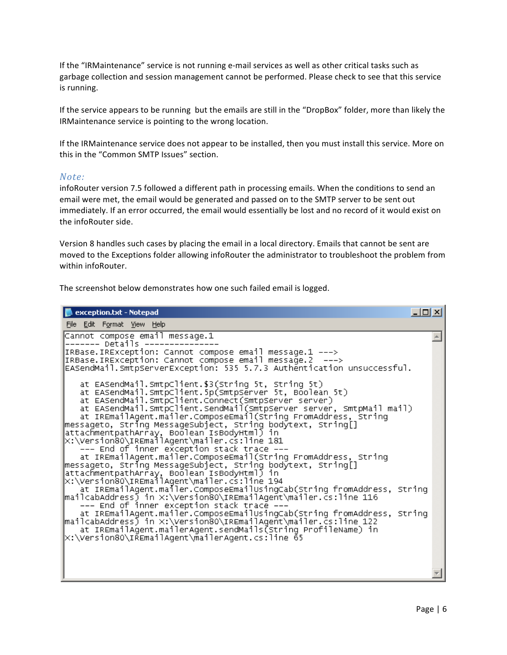If the "IRMaintenance" service is not running e-mail services as well as other critical tasks such as garbage collection and session management cannot be performed. Please check to see that this service is running.

If the service appears to be running but the emails are still in the "DropBox" folder, more than likely the IRMaintenance service is pointing to the wrong location.

If the IRMaintenance service does not appear to be installed, then you must install this service. More on this in the "Common SMTP Issues" section.

#### *Note:*

infoRouter version 7.5 followed a different path in processing emails. When the conditions to send an email were met, the email would be generated and passed on to the SMTP server to be sent out immediately. If an error occurred, the email would essentially be lost and no record of it would exist on the infoRouter side.

Version 8 handles such cases by placing the email in a local directory. Emails that cannot be sent are moved to the Exceptions folder allowing infoRouter the administrator to troubleshoot the problem from within infoRouter.

The screenshot below demonstrates how one such failed email is logged.

| exception.txt - Notepad                                                                                                                                                                                                                                                                                                                                                                                                                                                                                                                                                                                                                                                                                                                                                                                                                                                                                                                                                                                                                                                                                                                                                                                                                                |  |
|--------------------------------------------------------------------------------------------------------------------------------------------------------------------------------------------------------------------------------------------------------------------------------------------------------------------------------------------------------------------------------------------------------------------------------------------------------------------------------------------------------------------------------------------------------------------------------------------------------------------------------------------------------------------------------------------------------------------------------------------------------------------------------------------------------------------------------------------------------------------------------------------------------------------------------------------------------------------------------------------------------------------------------------------------------------------------------------------------------------------------------------------------------------------------------------------------------------------------------------------------------|--|
| <u>File Edit Format View Help</u>                                                                                                                                                                                                                                                                                                                                                                                                                                                                                                                                                                                                                                                                                                                                                                                                                                                                                                                                                                                                                                                                                                                                                                                                                      |  |
| Cannot compose email message.1<br>------- Details --------------<br>IRBase.IRException: Cannot compose email message.1 ---><br>IRBase.IRException: Cannot compose email message.2 ---><br>EASendMail.SmtpServerException: 535 5.7.3 Authentication unsuccessful.                                                                                                                                                                                                                                                                                                                                                                                                                                                                                                                                                                                                                                                                                                                                                                                                                                                                                                                                                                                       |  |
| at EASendMail.SmtpClient.\$3(String 5t, String 5t)<br>at EASendMail.SmtpClient.5p(SmtpServer 5t, Boolean 5t)<br>at EASendMail.SmtpClient.Connect(SmtpServer server)<br>at EASendMail.SmtpClient.SendMail(SmtpServer server, SmtpMail mail)<br>at IREmailAgent.mailer.ComposeEmail(String FromAddress, String<br> messageto, String MessageSubject, String bodytext, String[]<br>attachmentpathArray, Boolean IsBodyHtml) in<br>X:\Version80\IREmailAgent\mailer.cs:line 181<br>--- End of inner exception stack trace ---<br>at IREmailAgent.mailer.ComposeEmail(String FromAddress, String<br> messageto, String MessageSubject, String bodytext, String[]<br>attachmentpathArray, Boolean IsBodyHtml) in<br>X:\Version80\IREmailAgent\mailer.cs:line 194 <br>at IREmailAgent.mailer.ComposeEmailUsingCab(String fromAddress, String<br> mailcabAddress) in X:\Version80\IREmailAgent\mailer.cs:line 116<br>--- End of inner exception stack trace -<br>at IREmailAgent.mailer.ComposeEmailUsingCab(String fromAddress, String<br> mailcabAddress) in ×:\Version80\IREmailAgent\mailer.cs:line 122<br>at IREmailAgent.mailerAgent.sendMails(String ProfileName) in<br> X:\Version80\IREmailAgent\mailerAgent.cs:line                               65 |  |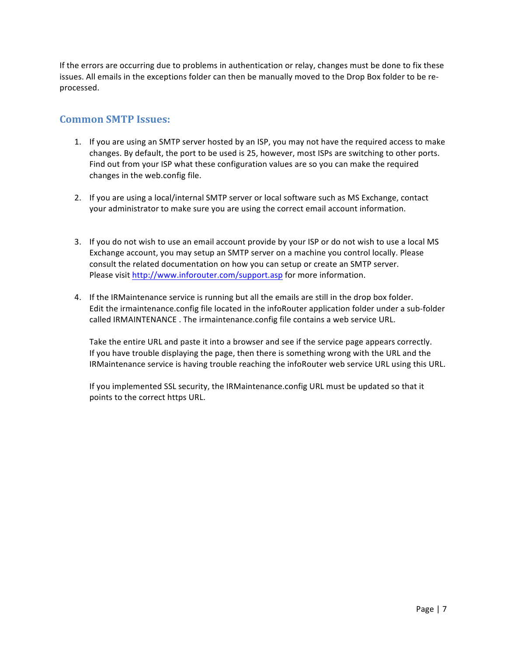If the errors are occurring due to problems in authentication or relay, changes must be done to fix these issues. All emails in the exceptions folder can then be manually moved to the Drop Box folder to be reprocessed. 

## **Common SMTP Issues:**

- 1. If you are using an SMTP server hosted by an ISP, you may not have the required access to make changes. By default, the port to be used is 25, however, most ISPs are switching to other ports. Find out from your ISP what these configuration values are so you can make the required changes in the web.config file.
- 2. If you are using a local/internal SMTP server or local software such as MS Exchange, contact your administrator to make sure you are using the correct email account information.
- 3. If you do not wish to use an email account provide by your ISP or do not wish to use a local MS Exchange account, you may setup an SMTP server on a machine you control locally. Please consult the related documentation on how you can setup or create an SMTP server. Please visit http://www.inforouter.com/support.asp for more information.
- 4. If the IRMaintenance service is running but all the emails are still in the drop box folder. Edit the irmaintenance.config file located in the infoRouter application folder under a sub-folder called IRMAINTENANCE. The irmaintenance.config file contains a web service URL.

Take the entire URL and paste it into a browser and see if the service page appears correctly. If you have trouble displaying the page, then there is something wrong with the URL and the IRMaintenance service is having trouble reaching the infoRouter web service URL using this URL.

If you implemented SSL security, the IRMaintenance.config URL must be updated so that it points to the correct https URL.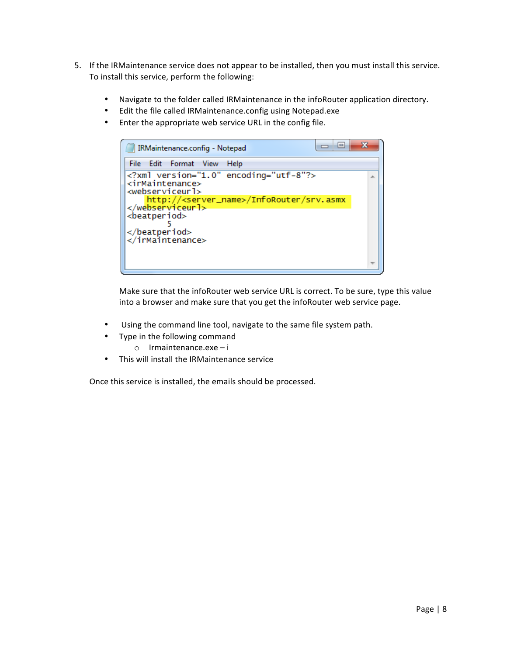- 5. If the IRMaintenance service does not appear to be installed, then you must install this service. To install this service, perform the following:
	- Navigate to the folder called IRMaintenance in the infoRouter application directory.
	- Edit the file called IRMaintenance.config using Notepad.exe
	- Enter the appropriate web service URL in the config file.



Make sure that the infoRouter web service URL is correct. To be sure, type this value into a browser and make sure that you get the infoRouter web service page.

- Using the command line tool, navigate to the same file system path.
- Type in the following command
	- $\circ$  Irmaintenance.exe i
- This will install the IRMaintenance service

Once this service is installed, the emails should be processed.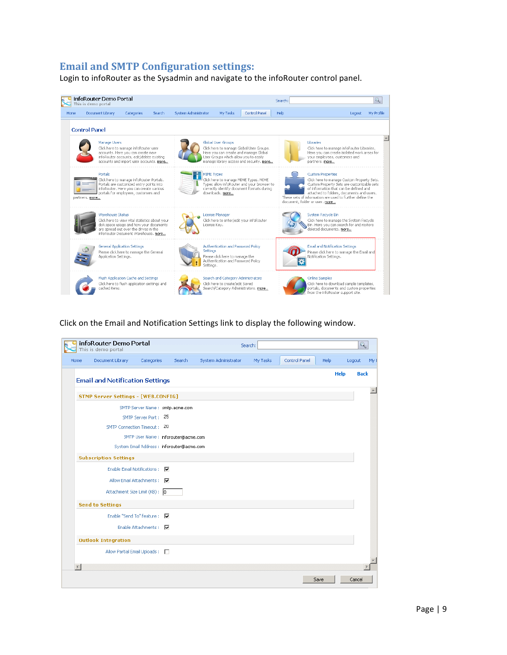## **Email and SMTP Configuration settings:**

Login to infoRouter as the Sysadmin and navigate to the infoRouter control panel.



Click on the Email and Notification Settings link to display the following window.

|      | infoRouter Demo Portal<br>This is demo portal |                                            |        |                      | Search:  |               |      |             | $\mathbf{Q}$ |      |
|------|-----------------------------------------------|--------------------------------------------|--------|----------------------|----------|---------------|------|-------------|--------------|------|
| Home | Document Library                              | Categories                                 | Search | System Administrator | My Tasks | Control Panel | Help |             | Logout       | My I |
|      |                                               | <b>Email and Notification Settings</b>     |        |                      |          |               |      | <b>Help</b> | <b>Back</b>  |      |
|      |                                               | <b>STMP Server Settings - [WEB.CONFIG]</b> |        |                      |          |               |      |             |              |      |
|      |                                               | SMTP Server Name: smtp.acme.com            |        |                      |          |               |      |             |              |      |
|      |                                               | SMTP Server Port: 25                       |        |                      |          |               |      |             |              |      |
|      |                                               | SMTP Connection Timeout: 20                |        |                      |          |               |      |             |              |      |
|      |                                               | SMTP User Name: inforouter@acme.com        |        |                      |          |               |      |             |              |      |
|      |                                               | System Email Address : inforouter@acme.com |        |                      |          |               |      |             |              |      |
|      | <b>Subscription Settings</b>                  |                                            |        |                      |          |               |      |             |              |      |
|      |                                               | Enable Email Notifications:   ▽            |        |                      |          |               |      |             |              |      |
|      |                                               | Allow Email Attachments : V                |        |                      |          |               |      |             |              |      |
|      |                                               | Attachment Size Limit (KB) : 0             |        |                      |          |               |      |             |              |      |
|      | <b>Send to Settings</b>                       |                                            |        |                      |          |               |      |             |              |      |
|      |                                               | Enable "Send To" feature : V               |        |                      |          |               |      |             |              |      |
|      |                                               | Enable Attachments : V                     |        |                      |          |               |      |             |              |      |
|      | <b>Outlook Integration</b>                    |                                            |        |                      |          |               |      |             |              |      |
|      |                                               | Allow Partial Email Uploads: [77]          |        |                      |          |               |      |             |              |      |
|      |                                               |                                            |        |                      |          |               |      |             |              |      |
|      |                                               |                                            |        |                      |          |               | Save |             | Cancel       |      |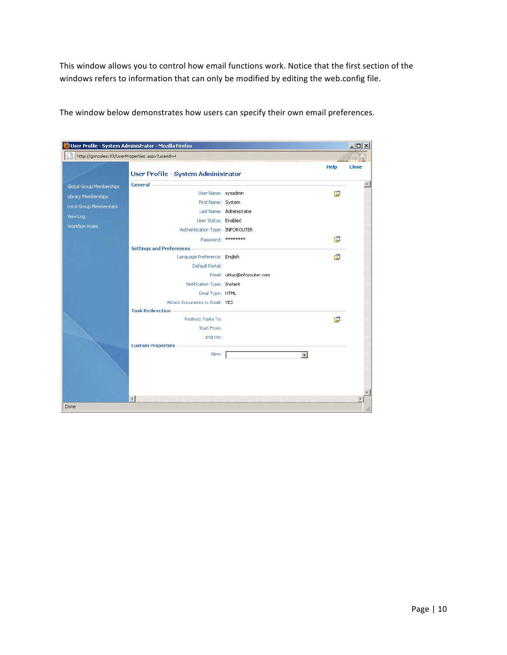This window allows you to control how email functions work. Notice that the first section of the windows refers to information that can only be modified by editing the web.config file.

|                                                 | User Profile - System Administrator - Mozilla Firefox |                             |             | $ \Box$ $\times$ |
|-------------------------------------------------|-------------------------------------------------------|-----------------------------|-------------|------------------|
| http://gonzales:83/UserProperties.aspx?userid=4 |                                                       |                             |             |                  |
|                                                 |                                                       |                             | <b>Help</b> | Close            |
|                                                 | User Profile - System Administrator                   |                             |             |                  |
| Global Group Memberships                        | <b>General</b>                                        |                             |             |                  |
| Library Memberships                             | User Name: sysadmin                                   |                             | 庫           |                  |
| Local Group Memberships                         | First Name: System                                    |                             |             |                  |
| View Log                                        |                                                       | Last Name: Administrator    |             |                  |
| Workflow Roles                                  | User Status: Enabled                                  |                             |             |                  |
|                                                 | Authentication Type: INFOROUTER                       |                             |             |                  |
|                                                 | Password: *********                                   |                             | 唓           |                  |
|                                                 | <b>Settings and Preferences -</b>                     |                             |             |                  |
|                                                 | Language Preference: English                          |                             | 恒           |                  |
|                                                 | Default Portal:                                       | Email: utkuc@inforouter.com |             |                  |
|                                                 |                                                       |                             |             |                  |
|                                                 | Notification Type: Instant<br>Email Type: HTML        |                             |             |                  |
|                                                 | Attach Documents to Email: YES                        |                             |             |                  |
|                                                 | <b>Task Redirection</b>                               |                             |             |                  |
|                                                 | Redirect Tasks To:                                    |                             | 直           |                  |
|                                                 | Start From:                                           |                             |             |                  |
|                                                 | End On:                                               |                             |             |                  |
|                                                 | <b>Custom Properties</b>                              |                             |             |                  |
|                                                 | New:                                                  | $\overline{\phantom{0}}$    |             |                  |
|                                                 |                                                       |                             |             |                  |
|                                                 |                                                       |                             |             |                  |
|                                                 |                                                       |                             |             |                  |
|                                                 |                                                       |                             |             |                  |
|                                                 | $\overline{4}$                                        |                             |             |                  |
| Done                                            |                                                       |                             |             |                  |

The window below demonstrates how users can specify their own email preferences.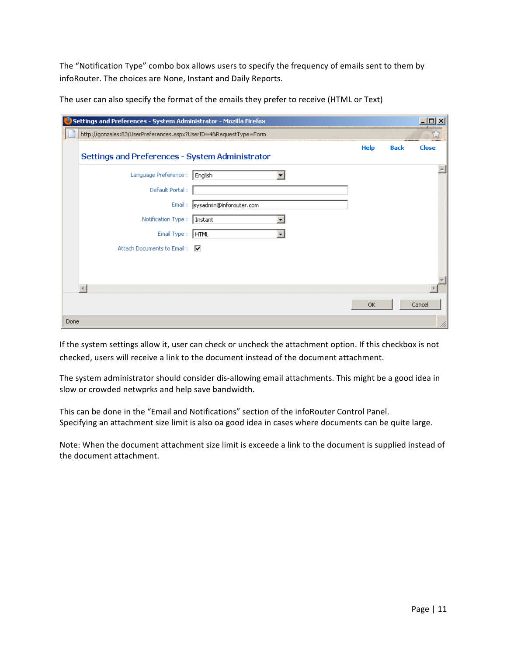The "Notification Type" combo box allows users to specify the frequency of emails sent to them by infoRouter. The choices are None, Instant and Daily Reports.

| Settings and Preferences - System Administrator - Mozilla Firefox<br>IJ |                          |             |             | $ \Box$ $\times$ |
|-------------------------------------------------------------------------|--------------------------|-------------|-------------|------------------|
| http://gonzales:83/UserPreferences.aspx?UserID=4&RequestType=Form       |                          |             |             |                  |
| Settings and Preferences - System Administrator                         |                          | <b>Help</b> | <b>Back</b> | <b>Close</b>     |
| Language Preference :                                                   | English                  |             |             |                  |
| Default Portal:                                                         |                          |             |             |                  |
| Email:                                                                  | sysadmin@inforouter.com  |             |             |                  |
| Notification Type:                                                      | Instant                  |             |             |                  |
| Email Type: FHTML                                                       | $\overline{\phantom{a}}$ |             |             |                  |
| Attach Documents to Email: V                                            |                          |             |             |                  |
|                                                                         |                          |             |             |                  |
|                                                                         |                          |             |             |                  |
|                                                                         |                          |             |             |                  |
|                                                                         |                          | <b>OK</b>   |             | Cancel           |
| Done                                                                    |                          |             |             | n                |

The user can also specify the format of the emails they prefer to receive (HTML or Text)

If the system settings allow it, user can check or uncheck the attachment option. If this checkbox is not checked, users will receive a link to the document instead of the document attachment.

The system administrator should consider dis-allowing email attachments. This might be a good idea in slow or crowded netwprks and help save bandwidth.

This can be done in the "Email and Notifications" section of the infoRouter Control Panel. Specifying an attachment size limit is also oa good idea in cases where documents can be quite large.

Note: When the document attachment size limit is exceede a link to the document is supplied instead of the document attachment.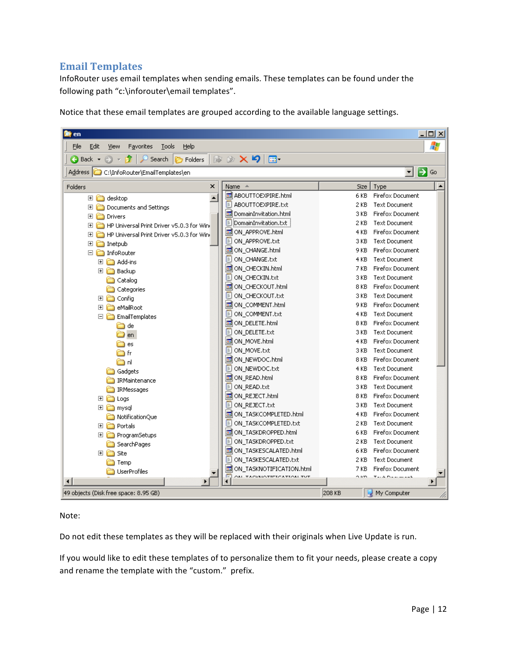## **Email Templates**

InfoRouter uses email templates when sending emails. These templates can be found under the following path "c:\inforouter\email templates".

Notice that these email templates are grouped according to the available language settings.

| $\Box$ o $\Box$<br>en                                                                            |                                   |                                 |  |  |  |  |
|--------------------------------------------------------------------------------------------------|-----------------------------------|---------------------------------|--|--|--|--|
| Ŧ<br>File<br>Edit<br>View<br>Favorites<br>Tools<br>Help                                          |                                   |                                 |  |  |  |  |
| $\mathbb{B} \otimes \mathsf{X}$ 5<br>$\bigodot$ Back $\star$<br>Search<br><b>P</b> Folders<br>⊞∙ |                                   |                                 |  |  |  |  |
| $\Rightarrow$ Go<br>Address C C:\InfoRouter\EmailTemplates\en                                    |                                   |                                 |  |  |  |  |
| ×<br>Folders                                                                                     | Name $\triangleq$                 | Size<br>Type                    |  |  |  |  |
| $\blacktriangle$<br>⊞<br>desktop                                                                 | 园 ABOUTTOEXPIRE.html              | Firefox Document<br>6 KB        |  |  |  |  |
| Documents and Settings<br>田                                                                      | <b>E</b> ABOUTTOEXPIRE.txt        | <b>Text Document</b><br>2 KB    |  |  |  |  |
| Drivers<br>$\overline{+}$                                                                        | DomainInvitation.html             | Firefox Document<br>3 KB        |  |  |  |  |
| HP Universal Print Driver v5.0.3 for Wind<br>$\overline{+}$                                      | E<br>DomainInvitation.txt:        | <b>Text Document</b><br>2 KB    |  |  |  |  |
| HP Universal Print Driver v5.0.3 for Wind<br>⊞                                                   | ON_APPROVE.html                   | Firefox Document<br>4 KB        |  |  |  |  |
| $\overline{+}$<br>Inetpub                                                                        | DON_APPROVE.txt                   | <b>Text Document</b><br>3 KB    |  |  |  |  |
| □ nfoRouter                                                                                      | M ON_CHANGE.html                  | Firefox Document<br>9 KB        |  |  |  |  |
| $\overline{+}$<br>Add-ins                                                                        | ON_CHANGE.txt                     | <b>Text Document</b><br>4 KB    |  |  |  |  |
| 田 n Backup                                                                                       | ON_CHECKIN.html                   | Firefox Document<br>7 KB        |  |  |  |  |
| ∩<br>Catalog                                                                                     | DON_CHECKIN.txt                   | 3 KB<br><b>Text Document</b>    |  |  |  |  |
| A<br>Categories                                                                                  | 圆ON CHECKOUT.html                 | 8 KB<br>Firefox Document        |  |  |  |  |
| 田 n Config                                                                                       | ON CHECKOUT.txt                   | <b>Text Document</b><br>3 KB    |  |  |  |  |
| 田 neMailRoot                                                                                     | 圖ON_COMMENT.html                  | Firefox Document<br>9 KB        |  |  |  |  |
| $\Box$ EmailTemplates                                                                            | ON_COMMENT.txt                    | <b>Text Document</b><br>4 KB    |  |  |  |  |
| 门 de                                                                                             | ON_DELETE.html                    | Firefox Document<br>8 KB        |  |  |  |  |
| d en                                                                                             | DON_DELETE.txt                    | <b>Text Document</b><br>3 KB    |  |  |  |  |
| 门 es                                                                                             | 圖 ON_MOVE.html                    | Firefox Document<br>4 KB        |  |  |  |  |
| r fr                                                                                             | <b>E ON MOVE.txt</b>              | <b>Text Document</b><br>3 KB    |  |  |  |  |
| êa d                                                                                             | 国 ON_NEWDOC.html                  | Firefox Document<br>8 KB        |  |  |  |  |
| Gadgets                                                                                          | DON_NEWDOC.txt                    | <b>Text Document</b><br>4 KB    |  |  |  |  |
| IRMaintenance                                                                                    | 国ON_READ.html                     | Firefox Document<br>8 KB        |  |  |  |  |
| <b>IRMessages</b>                                                                                | <b>DON_READ.txt</b>               | <b>Text Document</b><br>3 KB    |  |  |  |  |
| 田 a Logs                                                                                         | M ON_REJECT.html                  | Firefox Document<br>8 KB        |  |  |  |  |
| 田 imysql                                                                                         | DON_REJECT.txt                    | <b>Text Document</b><br>3 KB    |  |  |  |  |
| NotificationQue                                                                                  | 圆 ON_TASKCOMPLETED.html           | Firefox Document<br>4 KB        |  |  |  |  |
| 田 nortals                                                                                        | ON_TASKCOMPLETED.txt              | <b>Text Document</b><br>2 KB    |  |  |  |  |
| <b>El a</b> ProgramSetups                                                                        | <b>同ON_TASKDROPPED.html</b>       | Firefox Document<br>6 KB        |  |  |  |  |
| SearchPages                                                                                      | DON_TASKDROPPED.txt               | <b>Text Document</b><br>2 KB    |  |  |  |  |
| 田 白 Site                                                                                         | 圆 ON_TASKESCALATED.html           | <b>Firefox Document</b><br>6 KB |  |  |  |  |
| Temp                                                                                             | DI ON_TASKESCALATED.txt           | 2 KB<br><b>Text Document</b>    |  |  |  |  |
| <b>UserProfiles</b>                                                                              | <b>B</b> ON TASKNOTIFICATION.html | 7 KB<br>Firefox Document        |  |  |  |  |
| $\left  \cdot \right $                                                                           | ON TACKMOTIFICATION TUT           |                                 |  |  |  |  |
| 49 objects (Disk free space: 8.95 GB)                                                            |                                   | 208 KB<br>My Computer           |  |  |  |  |

#### Note:

Do not edit these templates as they will be replaced with their originals when Live Update is run.

If you would like to edit these templates of to personalize them to fit your needs, please create a copy and rename the template with the "custom." prefix.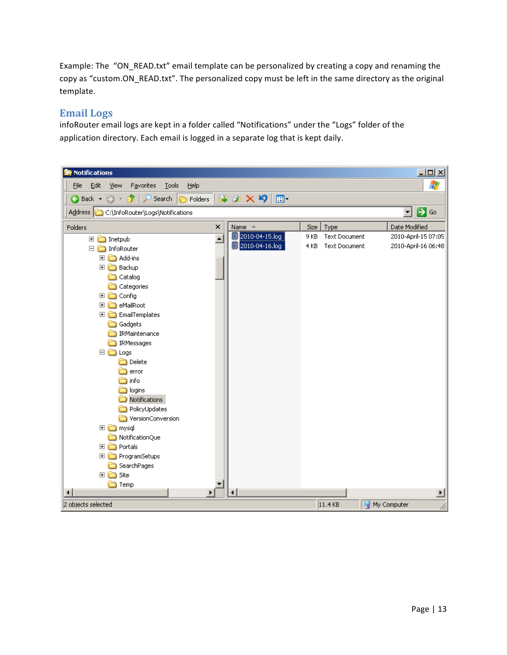Example: The "ON\_READ.txt" email template can be personalized by creating a copy and renaming the copy as "custom.ON\_READ.txt". The personalized copy must be left in the same directory as the original template.

## **Email Logs**

infoRouter email logs are kept in a folder called "Notifications" under the "Logs" folder of the application directory. Each email is logged in a separate log that is kept daily.